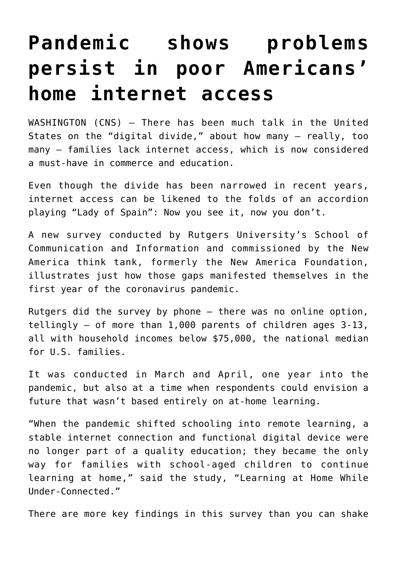## **[Pandemic shows problems](https://www.osvnews.com/2021/07/30/pandemic-shows-problems-persist-in-poor-americans-home-internet-access/) [persist in poor Americans'](https://www.osvnews.com/2021/07/30/pandemic-shows-problems-persist-in-poor-americans-home-internet-access/) [home internet access](https://www.osvnews.com/2021/07/30/pandemic-shows-problems-persist-in-poor-americans-home-internet-access/)**

WASHINGTON (CNS) — There has been much talk in the United States on the "digital divide," about how many — really, too many — families lack internet access, which is now considered a must-have in commerce and education.

Even though the divide has been narrowed in recent years, internet access can be likened to the folds of an accordion playing "Lady of Spain": Now you see it, now you don't.

A new survey conducted by Rutgers University's School of Communication and Information and commissioned by the New America think tank, formerly the New America Foundation, illustrates just how those gaps manifested themselves in the first year of the coronavirus pandemic.

Rutgers did the survey by phone — there was no online option, tellingly — of more than 1,000 parents of children ages 3-13, all with household incomes below \$75,000, the national median for U.S. families.

It was conducted in March and April, one year into the pandemic, but also at a time when respondents could envision a future that wasn't based entirely on at-home learning.

"When the pandemic shifted schooling into remote learning, a stable internet connection and functional digital device were no longer part of a quality education; they became the only way for families with school-aged children to continue learning at home," said the study, "Learning at Home While Under-Connected."

There are more key findings in this survey than you can shake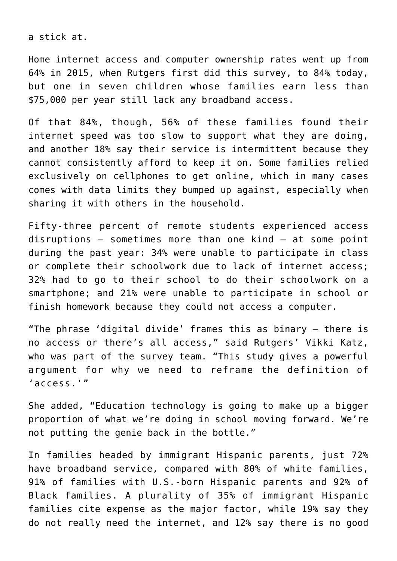a stick at.

Home internet access and computer ownership rates went up from 64% in 2015, when Rutgers first did this survey, to 84% today, but one in seven children whose families earn less than \$75,000 per year still lack any broadband access.

Of that 84%, though, 56% of these families found their internet speed was too slow to support what they are doing, and another 18% say their service is intermittent because they cannot consistently afford to keep it on. Some families relied exclusively on cellphones to get online, which in many cases comes with data limits they bumped up against, especially when sharing it with others in the household.

Fifty-three percent of remote students experienced access disruptions — sometimes more than one kind — at some point during the past year: 34% were unable to participate in class or complete their schoolwork due to lack of internet access; 32% had to go to their school to do their schoolwork on a smartphone; and 21% were unable to participate in school or finish homework because they could not access a computer.

"The phrase 'digital divide' frames this as binary — there is no access or there's all access," said Rutgers' Vikki Katz, who was part of the survey team. "This study gives a powerful argument for why we need to reframe the definition of 'access.'"

She added, "Education technology is going to make up a bigger proportion of what we're doing in school moving forward. We're not putting the genie back in the bottle."

In families headed by immigrant Hispanic parents, just 72% have broadband service, compared with 80% of white families, 91% of families with U.S.-born Hispanic parents and 92% of Black families. A plurality of 35% of immigrant Hispanic families cite expense as the major factor, while 19% say they do not really need the internet, and 12% say there is no good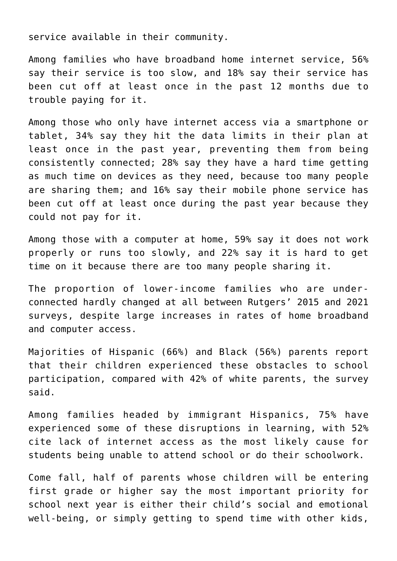service available in their community.

Among families who have broadband home internet service, 56% say their service is too slow, and 18% say their service has been cut off at least once in the past 12 months due to trouble paying for it.

Among those who only have internet access via a smartphone or tablet, 34% say they hit the data limits in their plan at least once in the past year, preventing them from being consistently connected; 28% say they have a hard time getting as much time on devices as they need, because too many people are sharing them; and 16% say their mobile phone service has been cut off at least once during the past year because they could not pay for it.

Among those with a computer at home, 59% say it does not work properly or runs too slowly, and 22% say it is hard to get time on it because there are too many people sharing it.

The proportion of lower-income families who are underconnected hardly changed at all between Rutgers' 2015 and 2021 surveys, despite large increases in rates of home broadband and computer access.

Majorities of Hispanic (66%) and Black (56%) parents report that their children experienced these obstacles to school participation, compared with 42% of white parents, the survey said.

Among families headed by immigrant Hispanics, 75% have experienced some of these disruptions in learning, with 52% cite lack of internet access as the most likely cause for students being unable to attend school or do their schoolwork.

Come fall, half of parents whose children will be entering first grade or higher say the most important priority for school next year is either their child's social and emotional well-being, or simply getting to spend time with other kids,